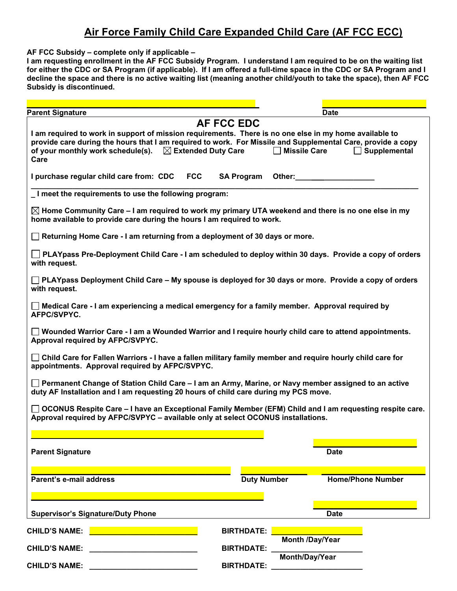## **Air Force Family Child Care Expanded Child Care (AF FCC ECC)**

**AF FCC Subsidy – complete only if applicable –** 

**I am requesting enrollment in the AF FCC Subsidy Program. I understand I am required to be on the waiting list for either the CDC or SA Program (if applicable). If I am offered a full-time space in the CDC or SA Program and I decline the space and there is no active waiting list (meaning another child/youth to take the space), then AF FCC Subsidy is discontinued.**

| <b>Parent Signature</b>                                                                                                                                                                                                                                                                                                                                              |                    | <b>Date</b>                                                                                                                                                                                                                   |  |
|----------------------------------------------------------------------------------------------------------------------------------------------------------------------------------------------------------------------------------------------------------------------------------------------------------------------------------------------------------------------|--------------------|-------------------------------------------------------------------------------------------------------------------------------------------------------------------------------------------------------------------------------|--|
| <b>AF FCC EDC</b><br>I am required to work in support of mission requirements. There is no one else in my home available to<br>provide care during the hours that I am required to work. For Missile and Supplemental Care, provide a copy<br>of your monthly work schedule(s). $\boxtimes$ Extended Duty Care<br><b>Missile Care</b><br>$\Box$ Supplemental<br>Care |                    |                                                                                                                                                                                                                               |  |
| <b>FCC</b><br>I purchase regular child care from: CDC                                                                                                                                                                                                                                                                                                                | <b>SA Program</b>  | Other: when the control of the control of the control of the control of the control of the control of the control of the control of the control of the control of the control of the control of the control of the control of |  |
| I meet the requirements to use the following program:                                                                                                                                                                                                                                                                                                                |                    |                                                                                                                                                                                                                               |  |
| $\boxtimes$ Home Community Care – I am required to work my primary UTA weekend and there is no one else in my<br>home available to provide care during the hours I am required to work.                                                                                                                                                                              |                    |                                                                                                                                                                                                                               |  |
| $\Box$ Returning Home Care - I am returning from a deployment of 30 days or more.                                                                                                                                                                                                                                                                                    |                    |                                                                                                                                                                                                                               |  |
| $\Box$ PLAYpass Pre-Deployment Child Care - I am scheduled to deploy within 30 days. Provide a copy of orders<br>with request.                                                                                                                                                                                                                                       |                    |                                                                                                                                                                                                                               |  |
| $\Box$ PLAYpass Deployment Child Care – My spouse is deployed for 30 days or more. Provide a copy of orders<br>with request.                                                                                                                                                                                                                                         |                    |                                                                                                                                                                                                                               |  |
| Medical Care - I am experiencing a medical emergency for a family member. Approval required by<br>AFPC/SVPYC.                                                                                                                                                                                                                                                        |                    |                                                                                                                                                                                                                               |  |
| Wounded Warrior Care - I am a Wounded Warrior and I require hourly child care to attend appointments.<br>Approval required by AFPC/SVPYC.                                                                                                                                                                                                                            |                    |                                                                                                                                                                                                                               |  |
| Child Care for Fallen Warriors - I have a fallen military family member and require hourly child care for<br>$\mathsf{L}$<br>appointments. Approval required by AFPC/SVPYC.                                                                                                                                                                                          |                    |                                                                                                                                                                                                                               |  |
| Permanent Change of Station Child Care – I am an Army, Marine, or Navy member assigned to an active<br>duty AF Installation and I am requesting 20 hours of child care during my PCS move.                                                                                                                                                                           |                    |                                                                                                                                                                                                                               |  |
| OCONUS Respite Care - I have an Exceptional Family Member (EFM) Child and I am requesting respite care.<br>Approval required by AFPC/SVPYC - available only at select OCONUS installations.                                                                                                                                                                          |                    |                                                                                                                                                                                                                               |  |
|                                                                                                                                                                                                                                                                                                                                                                      |                    |                                                                                                                                                                                                                               |  |
| <b>Parent Signature</b>                                                                                                                                                                                                                                                                                                                                              |                    | <b>Date</b>                                                                                                                                                                                                                   |  |
| Parent's e-mail address                                                                                                                                                                                                                                                                                                                                              | <b>Duty Number</b> | <b>Home/Phone Number</b>                                                                                                                                                                                                      |  |
|                                                                                                                                                                                                                                                                                                                                                                      |                    |                                                                                                                                                                                                                               |  |
|                                                                                                                                                                                                                                                                                                                                                                      |                    |                                                                                                                                                                                                                               |  |
| <b>Supervisor's Signature/Duty Phone</b>                                                                                                                                                                                                                                                                                                                             |                    | <b>Date</b>                                                                                                                                                                                                                   |  |
| <b>CHILD'S NAME:</b>                                                                                                                                                                                                                                                                                                                                                 | <b>BIRTHDATE:</b>  | <b>Month /Day/Year</b>                                                                                                                                                                                                        |  |
| <b>CHILD'S NAME:</b>                                                                                                                                                                                                                                                                                                                                                 | <b>BIRTHDATE:</b>  |                                                                                                                                                                                                                               |  |
| <b>CHILD'S NAME:</b>                                                                                                                                                                                                                                                                                                                                                 | <b>BIRTHDATE:</b>  | Month/Day/Year                                                                                                                                                                                                                |  |